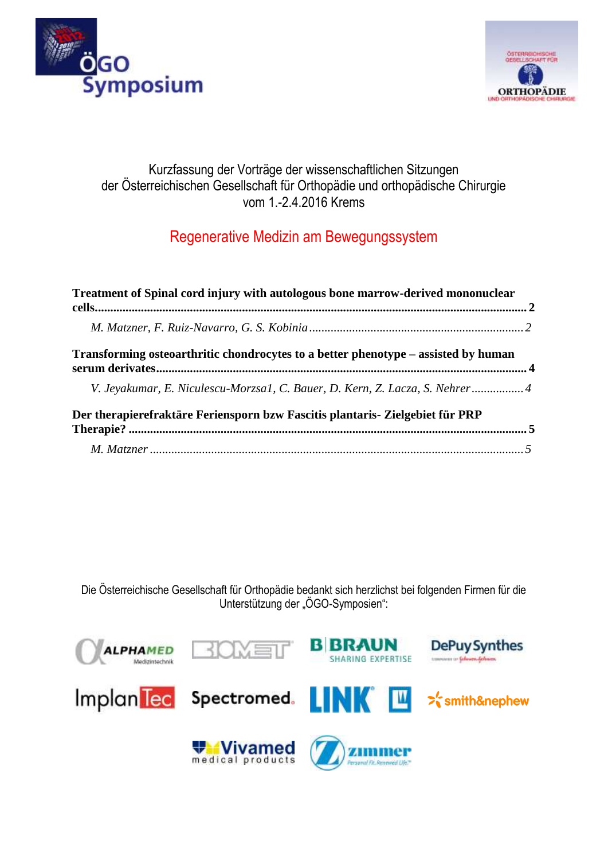



### Kurzfassung der Vorträge der wissenschaftlichen Sitzungen der Österreichischen Gesellschaft für Orthopädie und orthopädische Chirurgie vom 1.-2.4.2016 Krems

# Regenerative Medizin am Bewegungssystem

| Treatment of Spinal cord injury with autologous bone marrow-derived mononuclear    |  |
|------------------------------------------------------------------------------------|--|
|                                                                                    |  |
| Transforming osteoarthritic chondrocytes to a better phenotype – assisted by human |  |
| V. Jeyakumar, E. Niculescu-Morzsa1, C. Bauer, D. Kern, Z. Lacza, S. Nehrer 4       |  |
| Der therapierefraktäre Feriensporn bzw Fascitis plantaris- Zielgebiet für PRP      |  |
|                                                                                    |  |

Die Österreichische Gesellschaft für Orthopädie bedankt sich herzlichst bei folgenden Firmen für die Unterstützung der "ÖGO-Symposien":

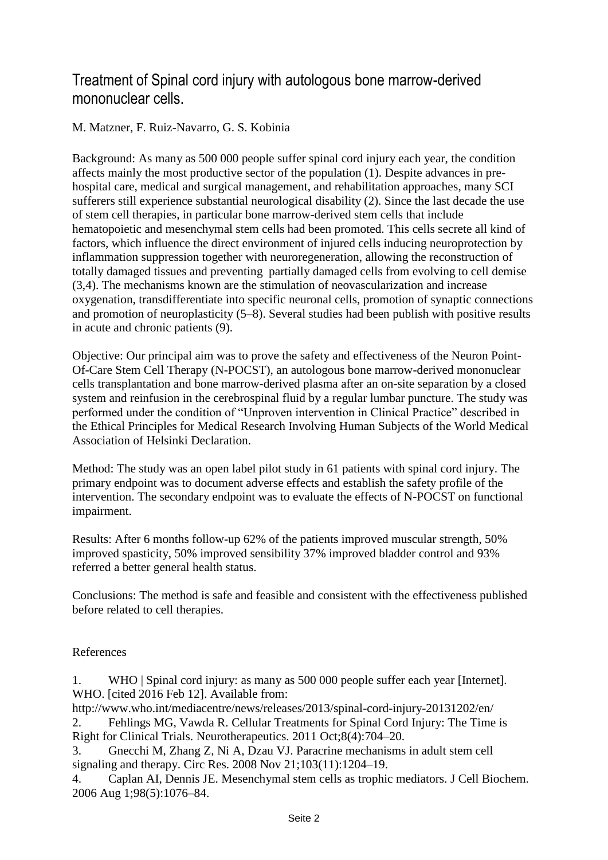## <span id="page-1-0"></span>Treatment of Spinal cord injury with autologous bone marrow-derived mononuclear cells.

#### <span id="page-1-1"></span>M. Matzner, F. Ruiz-Navarro, G. S. Kobinia

Background: As many as 500 000 people suffer spinal cord injury each year, the condition affects mainly the most productive sector of the population (1). Despite advances in prehospital care, medical and surgical management, and rehabilitation approaches, many SCI sufferers still experience substantial neurological disability (2). Since the last decade the use of stem cell therapies, in particular bone marrow-derived stem cells that include hematopoietic and mesenchymal stem cells had been promoted. This cells secrete all kind of factors, which influence the direct environment of injured cells inducing neuroprotection by inflammation suppression together with neuroregeneration, allowing the reconstruction of totally damaged tissues and preventing partially damaged cells from evolving to cell demise (3,4). The mechanisms known are the stimulation of neovascularization and increase oxygenation, transdifferentiate into specific neuronal cells, promotion of synaptic connections and promotion of neuroplasticity (5–8). Several studies had been publish with positive results in acute and chronic patients (9).

Objective: Our principal aim was to prove the safety and effectiveness of the Neuron Point-Of-Care Stem Cell Therapy (N-POCST), an autologous bone marrow-derived mononuclear cells transplantation and bone marrow-derived plasma after an on-site separation by a closed system and reinfusion in the cerebrospinal fluid by a regular lumbar puncture. The study was performed under the condition of "Unproven intervention in Clinical Practice" described in the Ethical Principles for Medical Research Involving Human Subjects of the World Medical Association of Helsinki Declaration.

Method: The study was an open label pilot study in 61 patients with spinal cord injury. The primary endpoint was to document adverse effects and establish the safety profile of the intervention. The secondary endpoint was to evaluate the effects of N-POCST on functional impairment.

Results: After 6 months follow-up 62% of the patients improved muscular strength, 50% improved spasticity, 50% improved sensibility 37% improved bladder control and 93% referred a better general health status.

Conclusions: The method is safe and feasible and consistent with the effectiveness published before related to cell therapies.

#### References

1. WHO | Spinal cord injury: as many as 500 000 people suffer each year [Internet]. WHO. [cited 2016 Feb 12]. Available from:

http://www.who.int/mediacentre/news/releases/2013/spinal-cord-injury-20131202/en/ 2. Fehlings MG, Vawda R. Cellular Treatments for Spinal Cord Injury: The Time is

Right for Clinical Trials. Neurotherapeutics. 2011 Oct;8(4):704–20.

3. Gnecchi M, Zhang Z, Ni A, Dzau VJ. Paracrine mechanisms in adult stem cell signaling and therapy. Circ Res. 2008 Nov 21;103(11):1204–19.

4. Caplan AI, Dennis JE. Mesenchymal stem cells as trophic mediators. J Cell Biochem. 2006 Aug 1;98(5):1076–84.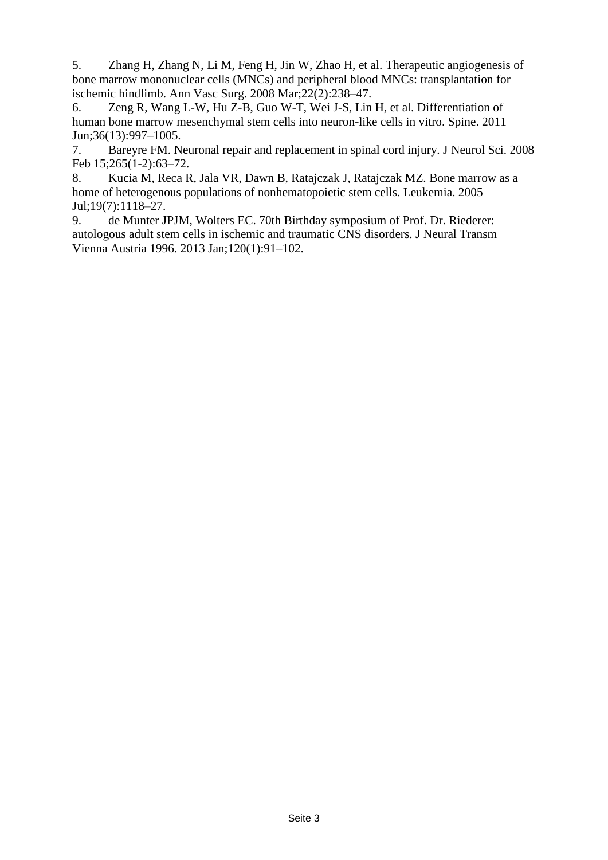5. Zhang H, Zhang N, Li M, Feng H, Jin W, Zhao H, et al. Therapeutic angiogenesis of bone marrow mononuclear cells (MNCs) and peripheral blood MNCs: transplantation for ischemic hindlimb. Ann Vasc Surg. 2008 Mar;22(2):238–47.

6. Zeng R, Wang L-W, Hu Z-B, Guo W-T, Wei J-S, Lin H, et al. Differentiation of human bone marrow mesenchymal stem cells into neuron-like cells in vitro. Spine. 2011 Jun;36(13):997–1005.

7. Bareyre FM. Neuronal repair and replacement in spinal cord injury. J Neurol Sci. 2008 Feb 15;265(1-2):63–72.

8. Kucia M, Reca R, Jala VR, Dawn B, Ratajczak J, Ratajczak MZ. Bone marrow as a home of heterogenous populations of nonhematopoietic stem cells. Leukemia. 2005 Jul;19(7):1118–27.

9. de Munter JPJM, Wolters EC. 70th Birthday symposium of Prof. Dr. Riederer: autologous adult stem cells in ischemic and traumatic CNS disorders. J Neural Transm Vienna Austria 1996. 2013 Jan;120(1):91–102.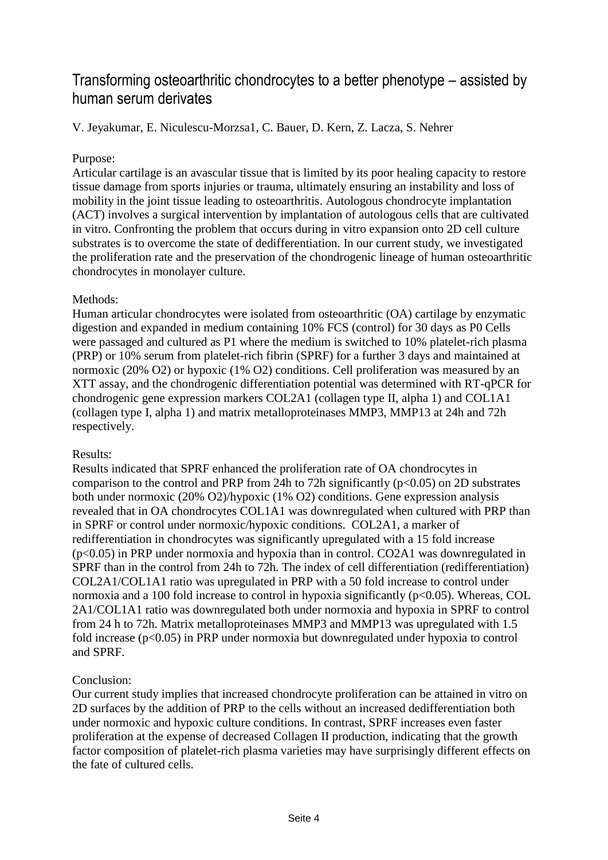## <span id="page-3-0"></span>Transforming osteoarthritic chondrocytes to a better phenotype – assisted by human serum derivates

<span id="page-3-1"></span>V. Jeyakumar, E. Niculescu-Morzsa1, C. Bauer, D. Kern, Z. Lacza, S. Nehrer

#### Purpose:

Articular cartilage is an avascular tissue that is limited by its poor healing capacity to restore tissue damage from sports injuries or trauma, ultimately ensuring an instability and loss of mobility in the joint tissue leading to osteoarthritis. Autologous chondrocyte implantation (ACT) involves a surgical intervention by implantation of autologous cells that are cultivated in vitro. Confronting the problem that occurs during in vitro expansion onto 2D cell culture substrates is to overcome the state of dedifferentiation. In our current study, we investigated the proliferation rate and the preservation of the chondrogenic lineage of human osteoarthritic chondrocytes in monolayer culture.

#### Methods:

Human articular chondrocytes were isolated from osteoarthritic (OA) cartilage by enzymatic digestion and expanded in medium containing 10% FCS (control) for 30 days as P0 Cells were passaged and cultured as P1 where the medium is switched to 10% platelet-rich plasma (PRP) or 10% serum from platelet-rich fibrin (SPRF) for a further 3 days and maintained at normoxic (20% O2) or hypoxic (1% O2) conditions. Cell proliferation was measured by an XTT assay, and the chondrogenic differentiation potential was determined with RT-qPCR for chondrogenic gene expression markers COL2A1 (collagen type II, alpha 1) and COL1A1 (collagen type I, alpha 1) and matrix metalloproteinases MMP3, MMP13 at 24h and 72h respectively.

#### Results:

Results indicated that SPRF enhanced the proliferation rate of OA chondrocytes in comparison to the control and PRP from 24h to 72h significantly ( $p<0.05$ ) on 2D substrates both under normoxic (20% O2)/hypoxic (1% O2) conditions. Gene expression analysis revealed that in OA chondrocytes COL1A1 was downregulated when cultured with PRP than in SPRF or control under normoxic/hypoxic conditions. COL2A1, a marker of redifferentiation in chondrocytes was significantly upregulated with a 15 fold increase (p<0.05) in PRP under normoxia and hypoxia than in control. CO2A1 was downregulated in SPRF than in the control from 24h to 72h. The index of cell differentiation (redifferentiation) COL2A1/COL1A1 ratio was upregulated in PRP with a 50 fold increase to control under normoxia and a 100 fold increase to control in hypoxia significantly ( $p<0.05$ ). Whereas, COL 2A1/COL1A1 ratio was downregulated both under normoxia and hypoxia in SPRF to control from 24 h to 72h. Matrix metalloproteinases MMP3 and MMP13 was upregulated with 1.5 fold increase ( $p<0.05$ ) in PRP under normoxia but downregulated under hypoxia to control and SPRF.

#### Conclusion:

Our current study implies that increased chondrocyte proliferation can be attained in vitro on 2D surfaces by the addition of PRP to the cells without an increased dedifferentiation both under normoxic and hypoxic culture conditions. In contrast, SPRF increases even faster proliferation at the expense of decreased Collagen II production, indicating that the growth factor composition of platelet-rich plasma varieties may have surprisingly different effects on the fate of cultured cells.